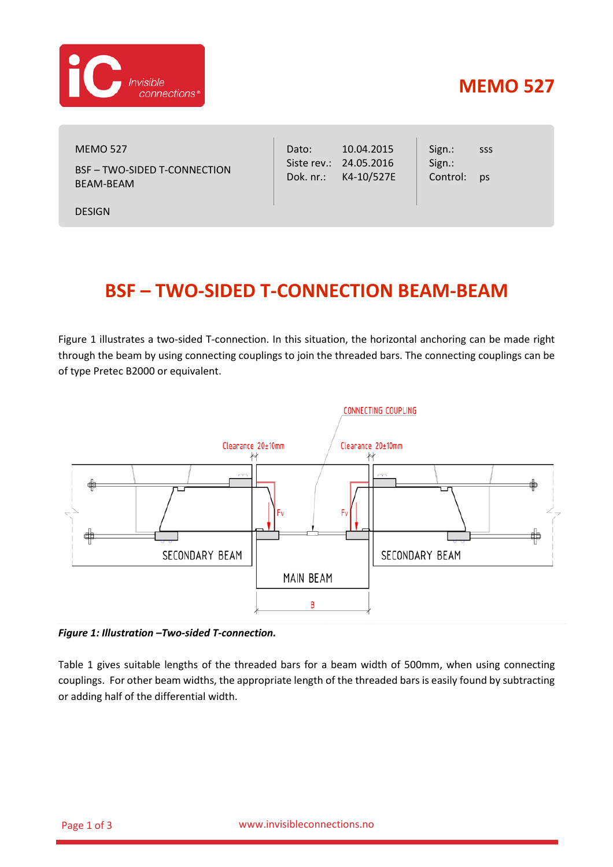

## **MEMO 527**

MEMO 527 BSF – TWO-SIDED T-CONNECTION BEAM-BEAM

DESIGN

Dato: Siste rev.: 24.05.2016 Dok. nr.: 10.04.2015 K4-10/527E Sign.: Sign.: Control: sss ps

## **BSF – TWO-SIDED T-CONNECTION BEAM-BEAM**

[Figure](#page-0-0) 1 illustrates a two-sided T-connection. In this situation, the horizontal anchoring can be made right through the beam by using connecting couplings to join the threaded bars. The connecting couplings can be of type Pretec B2000 or equivalent.



<span id="page-0-0"></span>*Figure 1: Illustration –Two-sided T-connection.*

[Table 1](#page-1-0) gives suitable lengths of the threaded bars for a beam width of 500mm, when using connecting couplings. For other beam widths, the appropriate length of the threaded bars is easily found by subtracting or adding half of the differential width.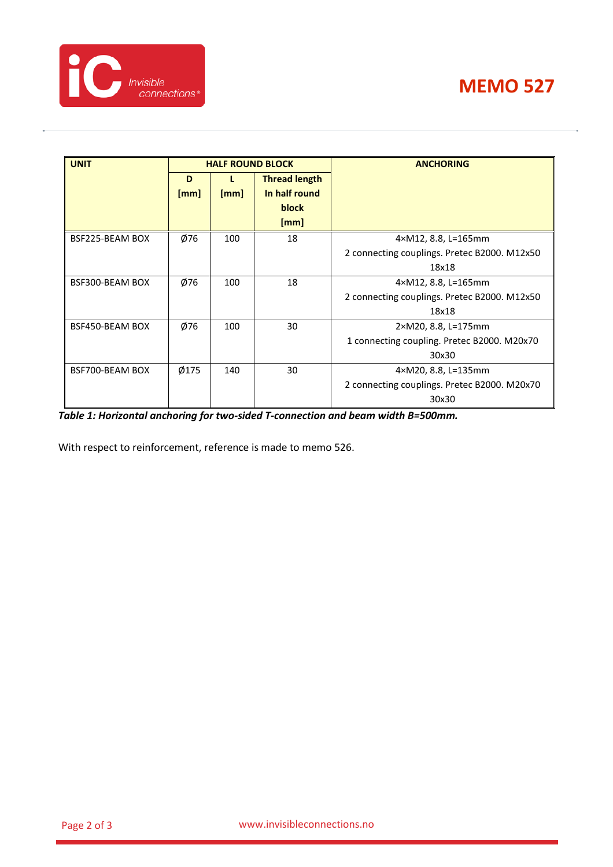| <b>UNIT</b>     | <b>HALF ROUND BLOCK</b> |      |                      | <b>ANCHORING</b>                             |
|-----------------|-------------------------|------|----------------------|----------------------------------------------|
|                 | D                       |      | <b>Thread length</b> |                                              |
|                 | [mm]                    | [mm] | In half round        |                                              |
|                 |                         |      | block                |                                              |
|                 |                         |      | [mm]                 |                                              |
| BSF225-BEAM BOX | Ø76                     | 100  | 18                   | 4×M12, 8.8, L=165mm                          |
|                 |                         |      |                      | 2 connecting couplings. Pretec B2000. M12x50 |
|                 |                         |      |                      | 18x18                                        |
| BSF300-BEAM BOX | Ø76                     | 100  | 18                   | 4×M12, 8.8, L=165mm                          |
|                 |                         |      |                      | 2 connecting couplings. Pretec B2000. M12x50 |
|                 |                         |      |                      | 18x18                                        |
| BSF450-BEAM BOX | Ø76                     | 100  | 30                   | 2×M20, 8.8, L=175mm                          |
|                 |                         |      |                      | 1 connecting coupling. Pretec B2000. M20x70  |
|                 |                         |      |                      | 30x30                                        |
| BSF700-BEAM BOX | Ø175                    | 140  | 30                   | 4×M20, 8.8, L=135mm                          |
|                 |                         |      |                      | 2 connecting couplings. Pretec B2000. M20x70 |
|                 |                         |      |                      | 30x30                                        |

<span id="page-1-0"></span>*Table 1: Horizontal anchoring for two-sided T-connection and beam width B=500mm.*

With respect to reinforcement, reference is made to memo 526.